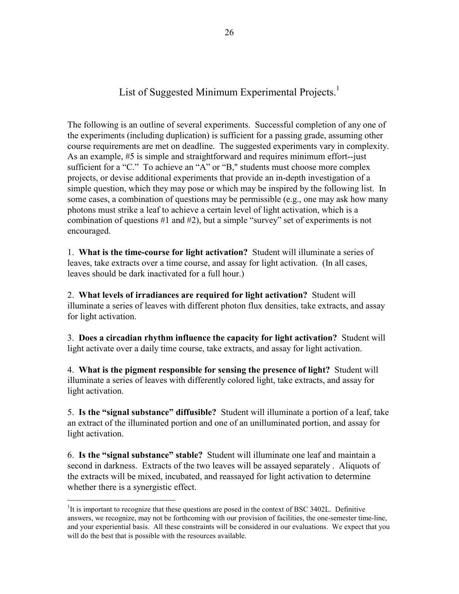List of Suggested Minimum Experimental Projects.<sup>1</sup>

The following is an outline of several experiments. Successful completion of any one of the experiments (including duplication) is sufficient for a passing grade, assuming other course requirements are met on deadline. The suggested experiments vary in complexity. As an example, #5 is simple and straightforward and requires minimum effort--just sufficient for a "C." To achieve an "A" or "B," students must choose more complex projects, or devise additional experiments that provide an in-depth investigation of a simple question, which they may pose or which may be inspired by the following list. In some cases, a combination of questions may be permissible (e.g., one may ask how many photons must strike a leaf to achieve a certain level of light activation, which is a combination of questions #1 and #2), but a simple "survey" set of experiments is not encouraged.

1. **What is the time-course for light activation?** Student will illuminate a series of leaves, take extracts over a time course, and assay for light activation. (In all cases, leaves should be dark inactivated for a full hour.)

2. **What levels of irradiances are required for light activation?** Student will illuminate a series of leaves with different photon flux densities, take extracts, and assay for light activation.

3. **Does a circadian rhythm influence the capacity for light activation?** Student will light activate over a daily time course, take extracts, and assay for light activation.

4. **What is the pigment responsible for sensing the presence of light?** Student will illuminate a series of leaves with differently colored light, take extracts, and assay for light activation.

5. **Is the "signal substance" diffusible?** Student will illuminate a portion of a leaf, take an extract of the illuminated portion and one of an unilluminated portion, and assay for light activation.

6. **Is the "signal substance" stable?** Student will illuminate one leaf and maintain a second in darkness. Extracts of the two leaves will be assayed separately . Aliquots of the extracts will be mixed, incubated, and reassayed for light activation to determine whether there is a synergistic effect.

 $\overline{a}$ 

<sup>&</sup>lt;sup>1</sup>It is important to recognize that these questions are posed in the context of BSC 3402L. Definitive answers, we recognize, may not be forthcoming with our provision of facilities, the one-semester time-line, and your experiential basis. All these constraints will be considered in our evaluations. We expect that you will do the best that is possible with the resources available.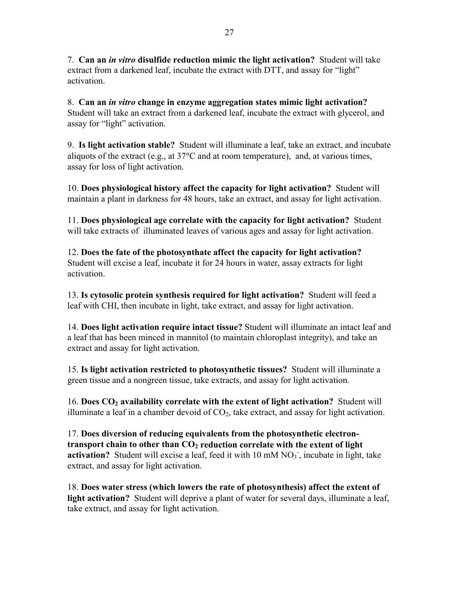7. **Can an** *in vitro* **disulfide reduction mimic the light activation?** Student will take extract from a darkened leaf, incubate the extract with DTT, and assay for "light" activation.

8. **Can an** *in vitro* **change in enzyme aggregation states mimic light activation?**  Student will take an extract from a darkened leaf, incubate the extract with glycerol, and assay for "light" activation.

9. **Is light activation stable?** Student will illuminate a leaf, take an extract, and incubate aliquots of the extract (e.g., at  $37^{\circ}$ C and at room temperature), and, at various times, assay for loss of light activation.

10. **Does physiological history affect the capacity for light activation?** Student will maintain a plant in darkness for 48 hours, take an extract, and assay for light activation.

11. **Does physiological age correlate with the capacity for light activation?** Student will take extracts of illuminated leaves of various ages and assay for light activation.

12. **Does the fate of the photosynthate affect the capacity for light activation?**  Student will excise a leaf, incubate it for 24 hours in water, assay extracts for light activation.

13. **Is cytosolic protein synthesis required for light activation?** Student will feed a leaf with CHI, then incubate in light, take extract, and assay for light activation.

14. **Does light activation require intact tissue?** Student will illuminate an intact leaf and a leaf that has been minced in mannitol (to maintain chloroplast integrity), and take an extract and assay for light activation.

15. **Is light activation restricted to photosynthetic tissues?** Student will illuminate a green tissue and a nongreen tissue, take extracts, and assay for light activation.

16. **Does CO2 availability correlate with the extent of light activation?** Student will illuminate a leaf in a chamber devoid of  $CO<sub>2</sub>$ , take extract, and assay for light activation.

17. **Does diversion of reducing equivalents from the photosynthetic electron**transport chain to other than  $CO<sub>2</sub>$  reduction correlate with the extent of light activation? Student will excise a leaf, feed it with 10 mM NO<sub>3</sub>, incubate in light, take extract, and assay for light activation.

18. **Does water stress (which lowers the rate of photosynthesis) affect the extent of light activation?** Student will deprive a plant of water for several days, illuminate a leaf, take extract, and assay for light activation.